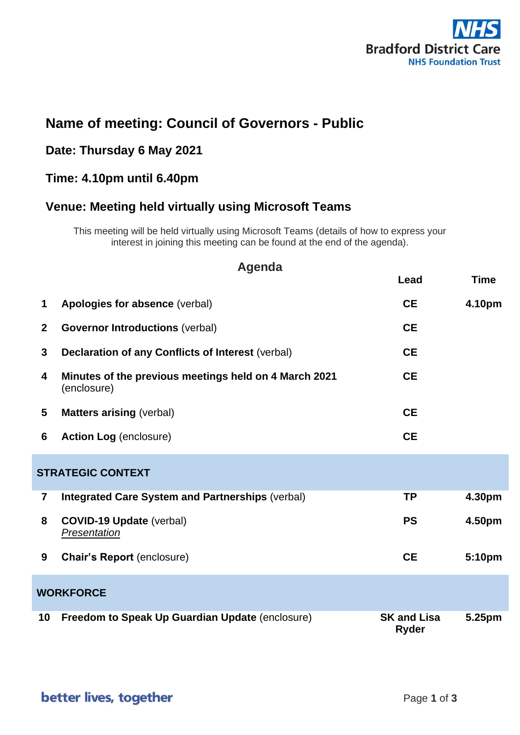

## **Name of meeting: Council of Governors - Public**

#### **Date: Thursday 6 May 2021**

### **Time: 4.10pm until 6.40pm**

### **Venue: Meeting held virtually using Microsoft Teams**

This meeting will be held virtually using Microsoft Teams (details of how to express your interest in joining this meeting can be found at the end of the agenda).

| <b>Agenda</b>            |                                                                      |                                    |             |  |  |  |  |
|--------------------------|----------------------------------------------------------------------|------------------------------------|-------------|--|--|--|--|
|                          |                                                                      | Lead                               | <b>Time</b> |  |  |  |  |
| 1                        | Apologies for absence (verbal)                                       | <b>CE</b>                          | 4.10pm      |  |  |  |  |
| $\overline{2}$           | <b>Governor Introductions (verbal)</b>                               | <b>CE</b>                          |             |  |  |  |  |
| $\mathbf{3}$             | <b>Declaration of any Conflicts of Interest (verbal)</b>             | <b>CE</b>                          |             |  |  |  |  |
| 4                        | Minutes of the previous meetings held on 4 March 2021<br>(enclosure) | <b>CE</b>                          |             |  |  |  |  |
| 5                        | <b>Matters arising (verbal)</b>                                      | <b>CE</b>                          |             |  |  |  |  |
| 6                        | <b>Action Log (enclosure)</b>                                        | <b>CE</b>                          |             |  |  |  |  |
| <b>STRATEGIC CONTEXT</b> |                                                                      |                                    |             |  |  |  |  |
| $\overline{\mathbf{r}}$  | <b>Integrated Care System and Partnerships (verbal)</b>              | <b>TP</b>                          | 4.30pm      |  |  |  |  |
| 8                        | <b>COVID-19 Update (verbal)</b><br>Presentation                      | <b>PS</b>                          | 4.50pm      |  |  |  |  |
| 9                        | <b>Chair's Report (enclosure)</b>                                    | <b>CE</b>                          | 5:10pm      |  |  |  |  |
|                          | <b>WORKFORCE</b>                                                     |                                    |             |  |  |  |  |
| 10                       | Freedom to Speak Up Guardian Update (enclosure)                      | <b>SK and Lisa</b><br><b>Ryder</b> | 5.25pm      |  |  |  |  |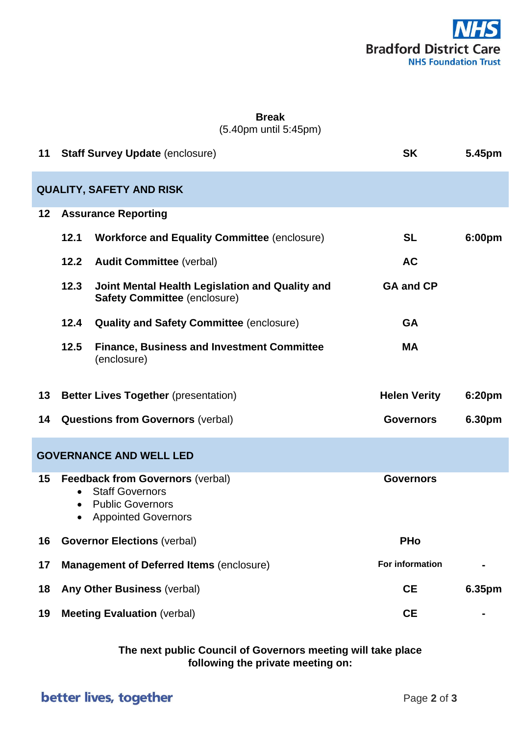

#### **Break** (5.40pm until 5:45pm)

| 11 |                            | <b>Staff Survey Update (enclosure)</b>                                                                                     | <b>SK</b>           | 5.45pm |  |
|----|----------------------------|----------------------------------------------------------------------------------------------------------------------------|---------------------|--------|--|
|    |                            | <b>QUALITY, SAFETY AND RISK</b>                                                                                            |                     |        |  |
| 12 | <b>Assurance Reporting</b> |                                                                                                                            |                     |        |  |
|    | 12.1                       | <b>Workforce and Equality Committee (enclosure)</b>                                                                        | <b>SL</b>           | 6:00pm |  |
|    | 12.2                       | <b>Audit Committee (verbal)</b>                                                                                            | <b>AC</b>           |        |  |
|    | 12.3                       | Joint Mental Health Legislation and Quality and<br><b>Safety Committee (enclosure)</b>                                     | <b>GA and CP</b>    |        |  |
|    | 12.4                       | <b>Quality and Safety Committee (enclosure)</b>                                                                            | <b>GA</b>           |        |  |
|    | 12.5                       | <b>Finance, Business and Investment Committee</b><br>(enclosure)                                                           | <b>MA</b>           |        |  |
| 13 |                            | <b>Better Lives Together (presentation)</b>                                                                                | <b>Helen Verity</b> | 6:20pm |  |
| 14 |                            | <b>Questions from Governors (verbal)</b>                                                                                   | <b>Governors</b>    | 6.30pm |  |
|    |                            |                                                                                                                            |                     |        |  |
|    |                            | <b>GOVERNANCE AND WELL LED</b>                                                                                             |                     |        |  |
| 15 | $\bullet$                  | <b>Feedback from Governors (verbal)</b><br><b>Staff Governors</b><br><b>Public Governors</b><br><b>Appointed Governors</b> | <b>Governors</b>    |        |  |
| 16 |                            | <b>Governor Elections (verbal)</b>                                                                                         | <b>PHo</b>          |        |  |
| 17 |                            | <b>Management of Deferred Items (enclosure)</b>                                                                            | For information     |        |  |
| 18 |                            | Any Other Business (verbal)                                                                                                | <b>CE</b>           | 6.35pm |  |

**The next public Council of Governors meeting will take place following the private meeting on:**

# better lives, together